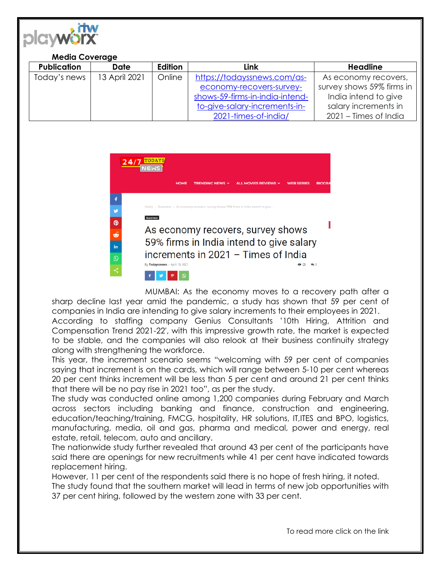

## **Media Coverage**

| <b>Publication</b> | <b>Date</b>   | Edition | Link                            | <b>Headline</b>           |
|--------------------|---------------|---------|---------------------------------|---------------------------|
| Today's news       | 13 April 2021 | Online  | https://todayssnews.com/as-     | As economy recovers,      |
|                    |               |         | economy-recovers-survey-        | survey shows 59% firms in |
|                    |               |         | shows-59-firms-in-india-intend- | India intend to give      |
|                    |               |         | to-give-salary-increments-in-   | salary increments in      |
|                    |               |         | 2021-times-of-india/            | 2021 – Times of India     |

| 24/7     |                                                                                                     |  |  |  |  |
|----------|-----------------------------------------------------------------------------------------------------|--|--|--|--|
|          | <b>TRENDING NEWS v</b><br>ALL MOVIES REVIEWS v<br><b>HOME</b><br><b>WEB SERIES</b><br><b>BIOGRA</b> |  |  |  |  |
|          |                                                                                                     |  |  |  |  |
|          | Home > Bussiness > As economy recovers, survey shows 59% firms in India intend to give              |  |  |  |  |
| ൫        | <b>Bussiness</b>                                                                                    |  |  |  |  |
| త        | As economy recovers, survey shows<br>59% firms in India intend to give salary                       |  |  |  |  |
| in       |                                                                                                     |  |  |  |  |
| $\Omega$ | increments in 2021 - Times of India                                                                 |  |  |  |  |
|          | By Todayssnews - April 13, 2021<br>69 23                                                            |  |  |  |  |

MUMBAI: As the economy moves to a recovery path after a sharp decline last year amid the pandemic, a study has shown that 59 per cent of companies in India are intending to give salary increments to their employees in 2021.

According to staffing company Genius Consultants '10th Hiring, Attrition and Compensation Trend 2021-22′, with this impressive growth rate, the market is expected to be stable, and the companies will also relook at their business continuity strategy along with strengthening the workforce.

This year, the increment scenario seems "welcoming with 59 per cent of companies saying that increment is on the cards, which will range between 5-10 per cent whereas 20 per cent thinks increment will be less than 5 per cent and around 21 per cent thinks that there will be no pay rise in 2021 too", as per the study.

The study was conducted online among 1,200 companies during February and March across sectors including banking and finance, construction and engineering, education/teaching/training, FMCG, hospitality, HR solutions, IT,ITES and BPO, logistics, manufacturing, media, oil and gas, pharma and medical, power and energy, real estate, retail, telecom, auto and ancillary.

The nationwide study further revealed that around 43 per cent of the participants have said there are openings for new recruitments while 41 per cent have indicated towards replacement hiring.

However, 11 per cent of the respondents said there is no hope of fresh hiring, it noted. The study found that the southern market will lead in terms of new job opportunities with 37 per cent hiring, followed by the western zone with 33 per cent.

To read more click on the link